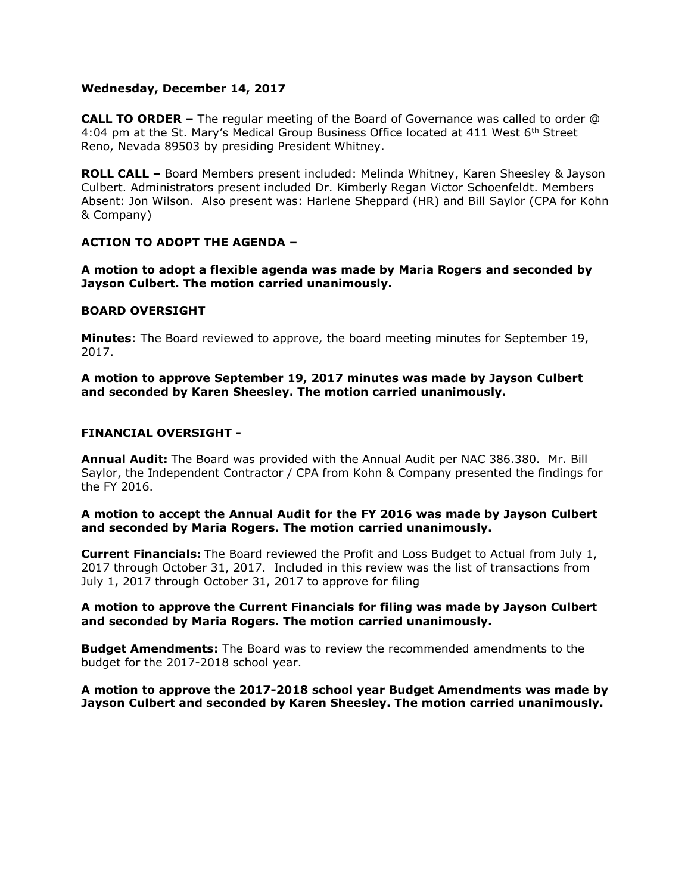#### **Wednesday, December 14, 2017**

**CALL TO ORDER –** The regular meeting of the Board of Governance was called to order @ 4:04 pm at the St. Mary's Medical Group Business Office located at 411 West 6<sup>th</sup> Street Reno, Nevada 89503 by presiding President Whitney.

**ROLL CALL –** Board Members present included: Melinda Whitney, Karen Sheesley & Jayson Culbert. Administrators present included Dr. Kimberly Regan Victor Schoenfeldt. Members Absent: Jon Wilson. Also present was: Harlene Sheppard (HR) and Bill Saylor (CPA for Kohn & Company)

# **ACTION TO ADOPT THE AGENDA –**

**A motion to adopt a flexible agenda was made by Maria Rogers and seconded by Jayson Culbert. The motion carried unanimously.** 

#### **BOARD OVERSIGHT**

**Minutes**: The Board reviewed to approve, the board meeting minutes for September 19, 2017.

**A motion to approve September 19, 2017 minutes was made by Jayson Culbert and seconded by Karen Sheesley. The motion carried unanimously.**

#### **FINANCIAL OVERSIGHT -**

**Annual Audit:** The Board was provided with the Annual Audit per NAC 386.380. Mr. Bill Saylor, the Independent Contractor / CPA from Kohn & Company presented the findings for the FY 2016.

**A motion to accept the Annual Audit for the FY 2016 was made by Jayson Culbert and seconded by Maria Rogers. The motion carried unanimously.**

**Current Financials:** The Board reviewed the Profit and Loss Budget to Actual from July 1, 2017 through October 31, 2017. Included in this review was the list of transactions from July 1, 2017 through October 31, 2017 to approve for filing

**A motion to approve the Current Financials for filing was made by Jayson Culbert and seconded by Maria Rogers. The motion carried unanimously.**

**Budget Amendments:** The Board was to review the recommended amendments to the budget for the 2017-2018 school year.

**A motion to approve the 2017-2018 school year Budget Amendments was made by Jayson Culbert and seconded by Karen Sheesley. The motion carried unanimously.**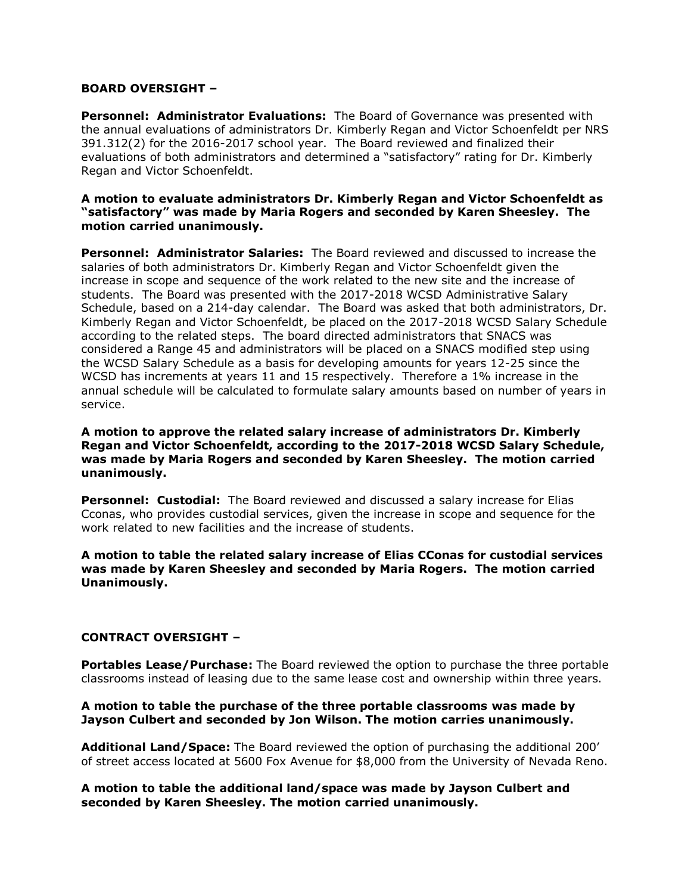# **BOARD OVERSIGHT –**

**Personnel: Administrator Evaluations:** The Board of Governance was presented with the annual evaluations of administrators Dr. Kimberly Regan and Victor Schoenfeldt per NRS 391.312(2) for the 2016-2017 school year. The Board reviewed and finalized their evaluations of both administrators and determined a "satisfactory" rating for Dr. Kimberly Regan and Victor Schoenfeldt.

## **A motion to evaluate administrators Dr. Kimberly Regan and Victor Schoenfeldt as "satisfactory" was made by Maria Rogers and seconded by Karen Sheesley. The motion carried unanimously.**

**Personnel: Administrator Salaries:** The Board reviewed and discussed to increase the salaries of both administrators Dr. Kimberly Regan and Victor Schoenfeldt given the increase in scope and sequence of the work related to the new site and the increase of students. The Board was presented with the 2017-2018 WCSD Administrative Salary Schedule, based on a 214-day calendar. The Board was asked that both administrators, Dr. Kimberly Regan and Victor Schoenfeldt, be placed on the 2017-2018 WCSD Salary Schedule according to the related steps. The board directed administrators that SNACS was considered a Range 45 and administrators will be placed on a SNACS modified step using the WCSD Salary Schedule as a basis for developing amounts for years 12-25 since the WCSD has increments at years 11 and 15 respectively. Therefore a 1% increase in the annual schedule will be calculated to formulate salary amounts based on number of years in service.

#### **A motion to approve the related salary increase of administrators Dr. Kimberly Regan and Victor Schoenfeldt, according to the 2017-2018 WCSD Salary Schedule, was made by Maria Rogers and seconded by Karen Sheesley. The motion carried unanimously.**

**Personnel: Custodial:** The Board reviewed and discussed a salary increase for Elias Cconas, who provides custodial services, given the increase in scope and sequence for the work related to new facilities and the increase of students.

**A motion to table the related salary increase of Elias CConas for custodial services was made by Karen Sheesley and seconded by Maria Rogers. The motion carried Unanimously.** 

# **CONTRACT OVERSIGHT –**

**Portables Lease/Purchase:** The Board reviewed the option to purchase the three portable classrooms instead of leasing due to the same lease cost and ownership within three years.

#### **A motion to table the purchase of the three portable classrooms was made by Jayson Culbert and seconded by Jon Wilson. The motion carries unanimously.**

**Additional Land/Space:** The Board reviewed the option of purchasing the additional 200' of street access located at 5600 Fox Avenue for \$8,000 from the University of Nevada Reno.

**A motion to table the additional land/space was made by Jayson Culbert and seconded by Karen Sheesley. The motion carried unanimously.**